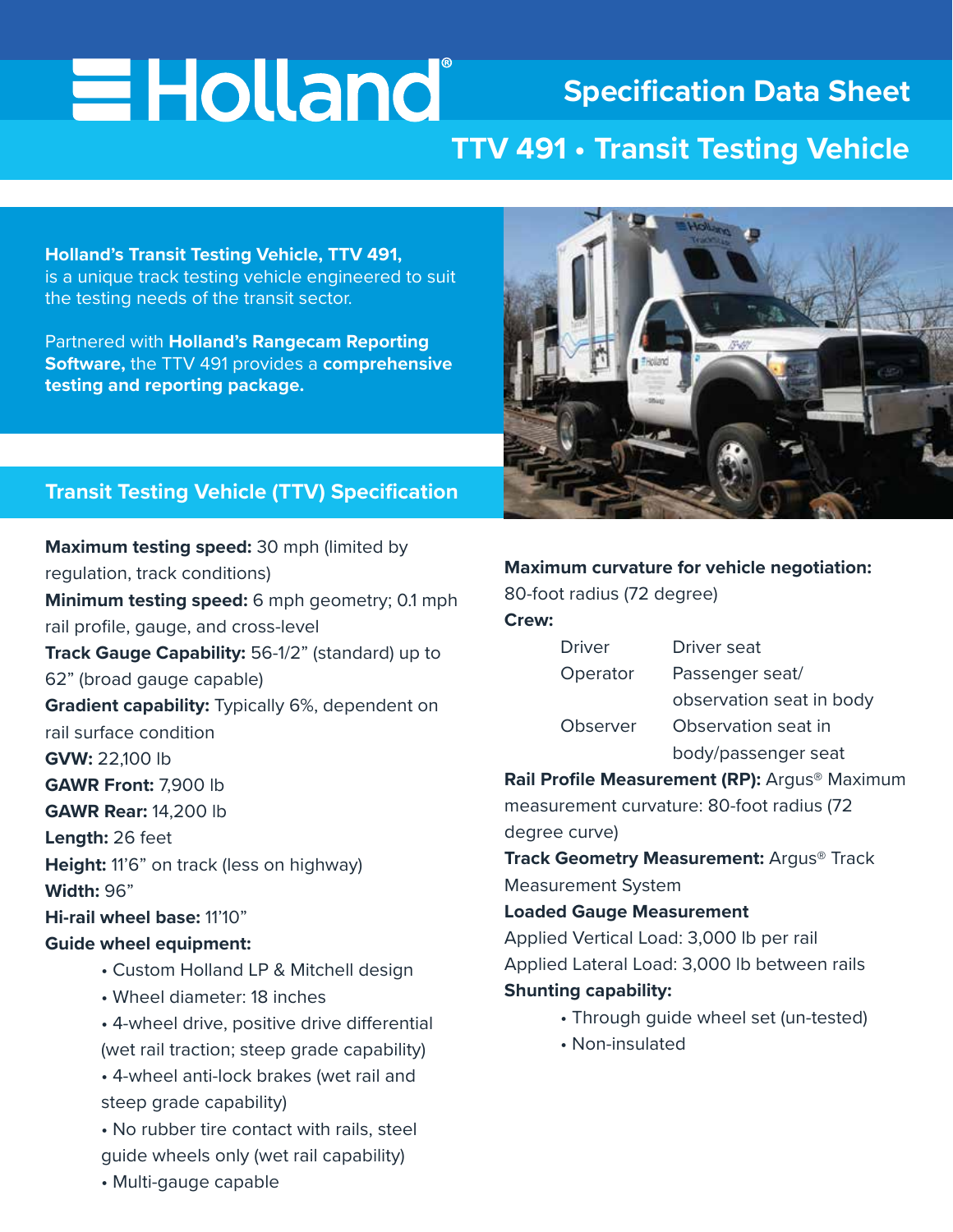# **EHolland**

# **Specification Data Sheet**

# **TTV 491 • Transit Testing Vehicle**

**Holland's Transit Testing Vehicle, TTV 491,** is a unique track testing vehicle engineered to suit the testing needs of the transit sector.

Partnered with **Holland's Rangecam Reporting Software,** the TTV 491 provides a **comprehensive testing and reporting package.**



### **Transit Testing Vehicle (TTV) Specification**

**Maximum testing speed:** 30 mph (limited by regulation, track conditions) **Minimum testing speed:** 6 mph geometry; 0.1 mph rail profile, gauge, and cross-level **Track Gauge Capability:** 56-1/2" (standard) up to 62" (broad gauge capable) **Gradient capability:** Typically 6%, dependent on rail surface condition **GVW:** 22,100 lb **GAWR Front:** 7,900 lb **GAWR Rear:** 14,200 lb **Length:** 26 feet Height: 11'6" on track (less on highway) **Width:** 96" **Hi-rail wheel base:** 11'10" **Guide wheel equipment:** • Custom Holland LP & Mitchell design • Wheel diameter: 18 inches

> • 4-wheel drive, positive drive differential (wet rail traction; steep grade capability)

 • 4-wheel anti-lock brakes (wet rail and steep grade capability)

 • No rubber tire contact with rails, steel guide wheels only (wet rail capability)

• Multi-gauge capable

#### **Maximum curvature for vehicle negotiation:**

80-foot radius (72 degree)

**Crew:**

| <b>Driver</b> | Driver seat              |
|---------------|--------------------------|
| Operator      | Passenger seat/          |
|               | observation seat in body |
| Observer      | Observation seat in      |
|               | body/passenger seat      |

**Rail Profile Measurement (RP):** Argus® Maximum

measurement curvature: 80-foot radius (72 degree curve)

**Track Geometry Measurement:** Argus® Track Measurement System

#### **Loaded Gauge Measurement**

Applied Vertical Load: 3,000 lb per rail Applied Lateral Load: 3,000 lb between rails

#### **Shunting capability:**

- Through guide wheel set (un-tested)
- Non-insulated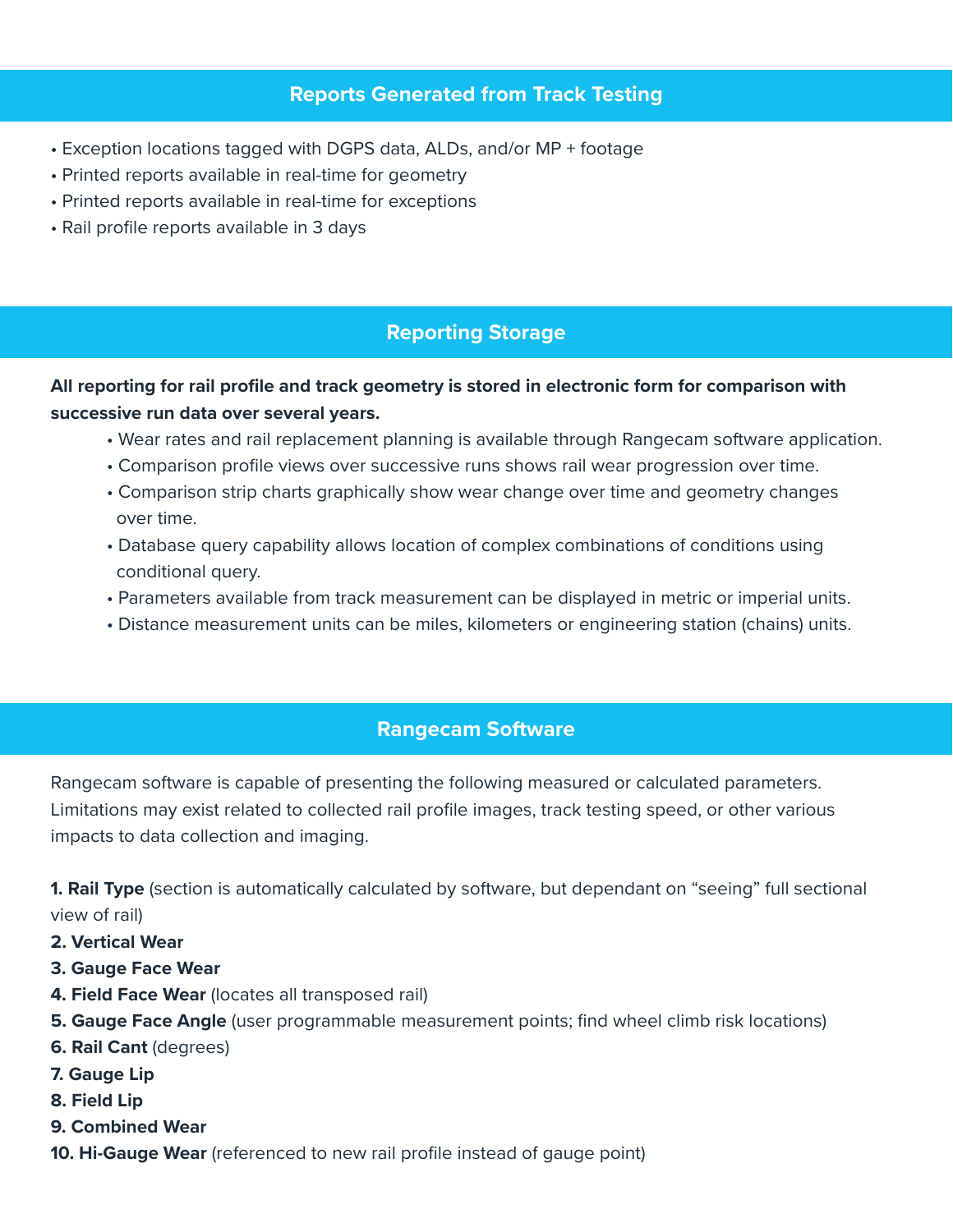# **Reports Generated from Track Testing**

- Exception locations tagged with DGPS data, ALDs, and/or MP + footage
- Printed reports available in real-time for geometry
- Printed reports available in real-time for exceptions
- Rail profile reports available in 3 days

# **Reporting Storage**

## **All reporting for rail profile and track geometry is stored in electronic form for comparison with successive run data over several years.**

- Wear rates and rail replacement planning is available through Rangecam software application.
- Comparison profile views over successive runs shows rail wear progression over time.
- Comparison strip charts graphically show wear change over time and geometry changes over time.
- Database query capability allows location of complex combinations of conditions using conditional query.
- Parameters available from track measurement can be displayed in metric or imperial units.
- Distance measurement units can be miles, kilometers or engineering station (chains) units.

# **Rangecam Software**

Rangecam software is capable of presenting the following measured or calculated parameters. Limitations may exist related to collected rail profile images, track testing speed, or other various impacts to data collection and imaging.

**1. Rail Type** (section is automatically calculated by software, but dependant on "seeing" full sectional view of rail)

- **2. Vertical Wear**
- **3. Gauge Face Wear**
- **4. Field Face Wear** (locates all transposed rail)
- **5. Gauge Face Angle** (user programmable measurement points; find wheel climb risk locations)
- **6. Rail Cant** (degrees)
- **7. Gauge Lip**
- **8. Field Lip**
- **9. Combined Wear**
- **10. Hi-Gauge Wear** (referenced to new rail profile instead of gauge point)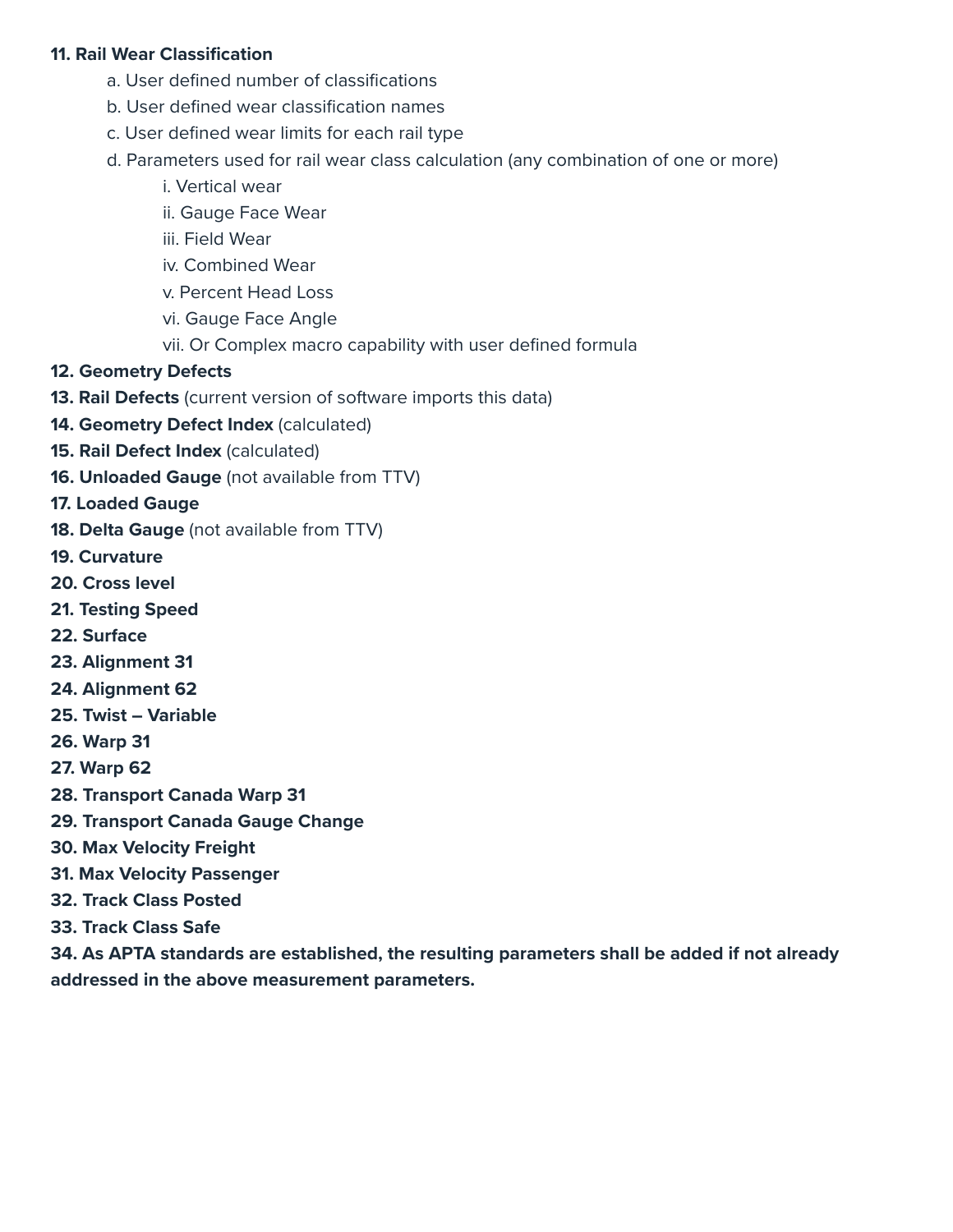#### **11. Rail Wear Classification**

- a. User defined number of classifications
- b. User defined wear classification names
- c. User defined wear limits for each rail type
- d. Parameters used for rail wear class calculation (any combination of one or more)
	- i. Vertical wear
	- ii. Gauge Face Wear
	- iii. Field Wear
	- iv. Combined Wear
	- v. Percent Head Loss
	- vi. Gauge Face Angle
	- vii. Or Complex macro capability with user defined formula
- **12. Geometry Defects**
- **13. Rail Defects** (current version of software imports this data)
- **14. Geometry Defect Index** (calculated)
- **15. Rail Defect Index** (calculated)
- **16. Unloaded Gauge** (not available from TTV)
- **17. Loaded Gauge**
- **18. Delta Gauge** (not available from TTV)
- **19. Curvature**
- **20. Cross level**
- **21. Testing Speed**
- **22. Surface**
- **23. Alignment 31**
- **24. Alignment 62**
- **25. Twist Variable**
- **26. Warp 31**
- **27. Warp 62**
- **28. Transport Canada Warp 31**
- **29. Transport Canada Gauge Change**
- **30. Max Velocity Freight**
- **31. Max Velocity Passenger**
- **32. Track Class Posted**
- **33. Track Class Safe**

**34. As APTA standards are established, the resulting parameters shall be added if not already addressed in the above measurement parameters.**